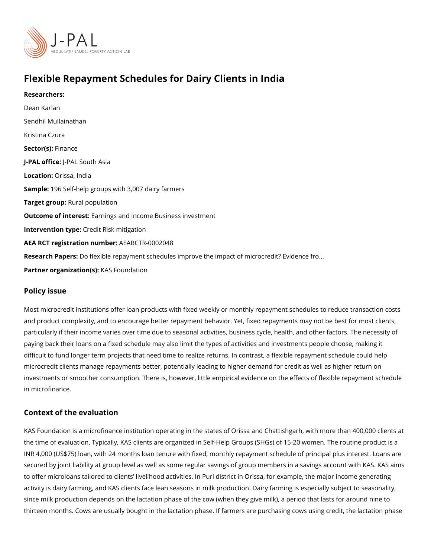# Flexible Repayment Schedules for Dairy Clients in India

Researchers: [Dean Ka](https://www.povertyactionlab.org/person/karlan)rlan [Sendhil Mulla](https://www.povertyactionlab.org/person/mullainathan)inathan Kristina Czura Sector(Fsi)nance J-PAL of Ui-cPeAL South Asia Locatio $Q$ rissa, India Sample: 96 Self-help groups with 3,007 dairy farmers Target gro**Rpral** population Outcome of interestings and income Business investment Intervention  $t\mathcal{G}$ pedit Risk mitigation AEA RCT registration ArEuAnRbGeTR-0002048 Research Papers: exible repayment schedules improve the impact of microcredit? Evidence Partner organizatKAnS(sF)oundation

#### Policy issue

Most microcredit institutions offer loan products with fixed weekly or monthly repayment s and product complexity, and to encourage better repayment behavior. Yet, fixed repaymen particularly if their income varies over time due to seasonal activities, business cycle, he paying back their loans on a fixed schedule may also limit the types of activities and inve difficult to fund longer term projects that need time to realize returns. In contrast, a flex microcredit clients manage repayments better, potentially leading to higher demand for cr investments or smoother consumption. There is, however, little empirical evidence on the in microfinance.

#### Context of the evaluation

KAS Foundation is a microfinance institution operating in the states of Orissa and Chattis the time of evaluation. Typically, KAS clients are organized in Self-Help Groups (SHGs) o INR 4,000 (US\$75) loan, with 24 months loan tenure with fixed, monthly repayment schedu secured by joint liability at group level as well as some regular savings of group members to offer microloans tailored to clients livelihood activities. In Puri district in Orissa, for activity is dairy farming, and KAS clients face lean seasons in milk production. Dairy farm since milk production depends on the lactation phase of the cow (when they give milk), a thirteen months. Cows are usually bought in the lactation phase. If farmers are purchasin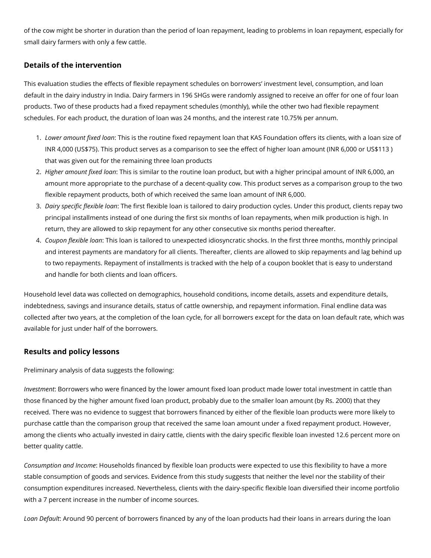of the cow might be shorter in duration than the period of loan repayment, leading to problems in loan repayment, especially for small dairy farmers with only a few cattle.

## **Details of the intervention**

This evaluation studies the effects of flexible repayment schedules on borrowers' investment level, consumption, and loan default in the dairy industry in India. Dairy farmers in 196 SHGs were randomly assigned to receive an offer for one of four loan products. Two of these products had a fixed repayment schedules (monthly), while the other two had flexible repayment schedules. For each product, the duration of loan was 24 months, and the interest rate 10.75% per annum.

- 1. *Lower amount fixed loan*: This is the routine fixed repayment loan that KAS Foundation offers its clients, with a loan size of INR 4,000 (US\$75). This product serves as a comparison to see the effect of higher loan amount (INR 6,000 or US\$113 ) that was given out for the remaining three loan products
- 2. *Higher amount fixed loan*: This is similar to the routine loan product, but with a higher principal amount of INR 6,000, an amount more appropriate to the purchase of a decent-quality cow. This product serves as a comparison group to the two flexible repayment products, both of which received the same loan amount of INR 6,000.
- 3. *Dairy specific flexible loan*: The first flexible loan is tailored to dairy production cycles. Under this product, clients repay two principal installments instead of one during the first six months of loan repayments, when milk production is high. In return, they are allowed to skip repayment for any other consecutive six months period thereafter.
- 4. *Coupon flexible loan*: This loan is tailored to unexpected idiosyncratic shocks. In the first three months, monthly principal and interest payments are mandatory for all clients. Thereafter, clients are allowed to skip repayments and lag behind up to two repayments. Repayment of installments is tracked with the help of a coupon booklet that is easy to understand and handle for both clients and loan officers.

Household level data was collected on demographics, household conditions, income details, assets and expenditure details, indebtedness, savings and insurance details, status of cattle ownership, and repayment information. Final endline data was collected after two years, at the completion of the loan cycle, for all borrowers except for the data on loan default rate, which was available for just under half of the borrowers.

### **Results and policy lessons**

Preliminary analysis of data suggests the following:

*Investment*: Borrowers who were financed by the lower amount fixed loan product made lower total investment in cattle than those financed by the higher amount fixed loan product, probably due to the smaller loan amount (by Rs. 2000) that they received. There was no evidence to suggest that borrowers financed by either of the flexible loan products were more likely to purchase cattle than the comparison group that received the same loan amount under a fixed repayment product. However, among the clients who actually invested in dairy cattle, clients with the dairy specific flexible loan invested 12.6 percent more on better quality cattle.

*Consumption and Income*: Households financed by flexible loan products were expected to use this flexibility to have a more stable consumption of goods and services. Evidence from this study suggests that neither the level nor the stability of their consumption expenditures increased. Nevertheless, clients with the dairy-specific flexible loan diversified their income portfolio with a 7 percent increase in the number of income sources.

*Loan Default*: Around 90 percent of borrowers financed by any of the loan products had their loans in arrears during the loan